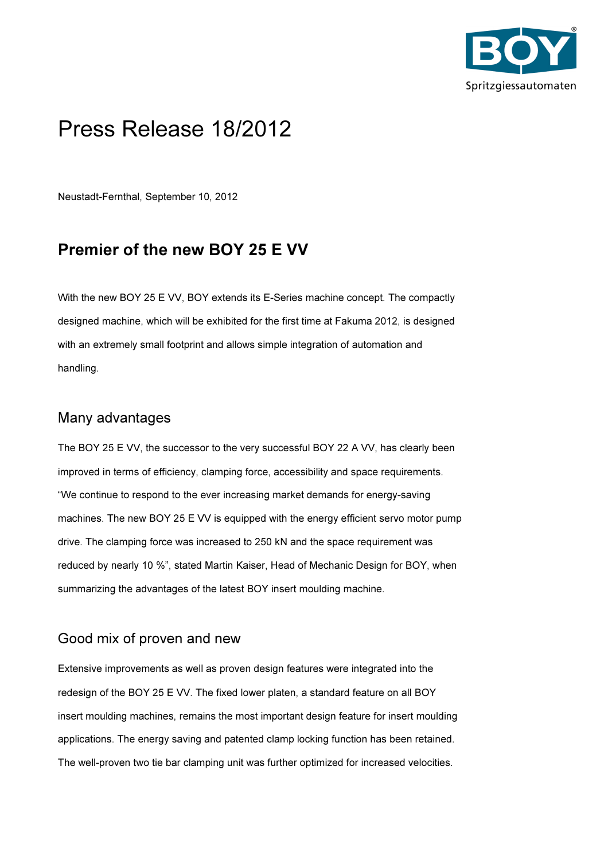

# Press Release 18/2012

Neustadt-Fernthal, September 10, 2012

## Premier of the new BOY 25 E VV

With the new BOY 25 E VV, BOY extends its E-Series machine concept. The compactly designed machine, which will be exhibited for the first time at Fakuma 2012, is designed with an extremely small footprint and allows simple integration of automation and handling.

#### Many advantages

The BOY 25 E VV, the successor to the very successful BOY 22 A VV, has clearly been improved in terms of efficiency, clamping force, accessibility and space requirements. "We continue to respond to the ever increasing market demands for energy-saving machines. The new BOY 25 E VV is equipped with the energy efficient servo motor pump drive. The clamping force was increased to 250 kN and the space requirement was reduced by nearly 10 %", stated Martin Kaiser, Head of Mechanic Design for BOY, when summarizing the advantages of the latest BOY insert moulding machine.

#### Good mix of proven and new

Extensive improvements as well as proven design features were integrated into the redesign of the BOY 25 E VV. The fixed lower platen, a standard feature on all BOY insert moulding machines, remains the most important design feature for insert moulding applications. The energy saving and patented clamp locking function has been retained. The well-proven two tie bar clamping unit was further optimized for increased velocities.